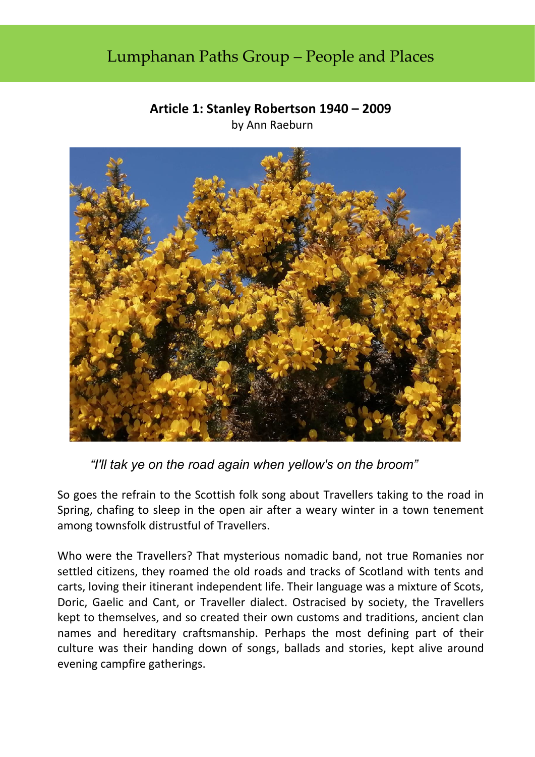## Lumphanan Paths Group – People and Places

## **Article 1: Stanley Robertson 1940 – 2009**

by Ann Raeburn



 *"I'll tak ye on the road again when yellow's on the broom"* 

So goes the refrain to the Scottish folk song about Travellers taking to the road in Spring, chafing to sleep in the open air after a weary winter in a town tenement among townsfolk distrustful of Travellers.

Who were the Travellers? That mysterious nomadic band, not true Romanies nor settled citizens, they roamed the old roads and tracks of Scotland with tents and carts, loving their itinerant independent life. Their language was a mixture of Scots, Doric, Gaelic and Cant, or Traveller dialect. Ostracised by society, the Travellers kept to themselves, and so created their own customs and traditions, ancient clan names and hereditary craftsmanship. Perhaps the most defining part of their culture was their handing down of songs, ballads and stories, kept alive around evening campfire gatherings.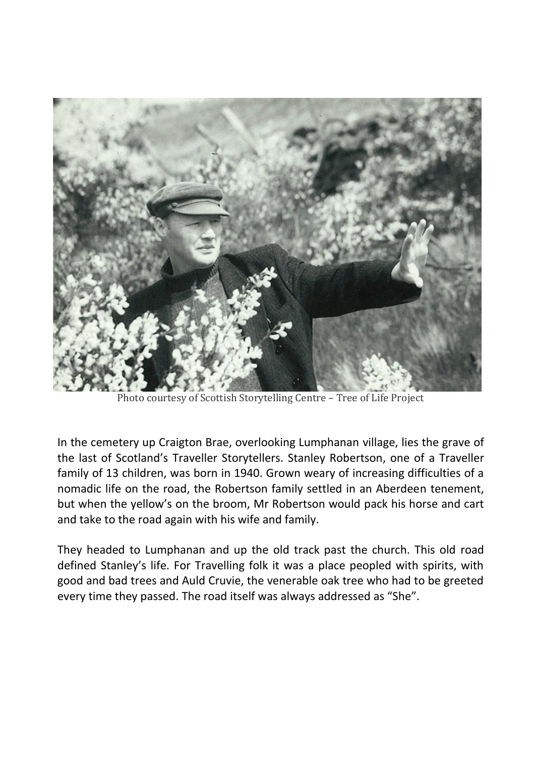

Photo courtesy of Scottish Storytelling Centre – Tree of Life Project

In the cemetery up Craigton Brae, overlooking Lumphanan village, lies the grave of the last of Scotland's Traveller Storytellers. Stanley Robertson, one of a Traveller family of 13 children, was born in 1940. Grown weary of increasing difficulties of a nomadic life on the road, the Robertson family settled in an Aberdeen tenement, but when the yellow's on the broom, Mr Robertson would pack his horse and cart and take to the road again with his wife and family.

They headed to Lumphanan and up the old track past the church. This old road defined Stanley's life. For Travelling folk it was a place peopled with spirits, with good and bad trees and Auld Cruvie, the venerable oak tree who had to be greeted every time they passed. The road itself was always addressed as "She".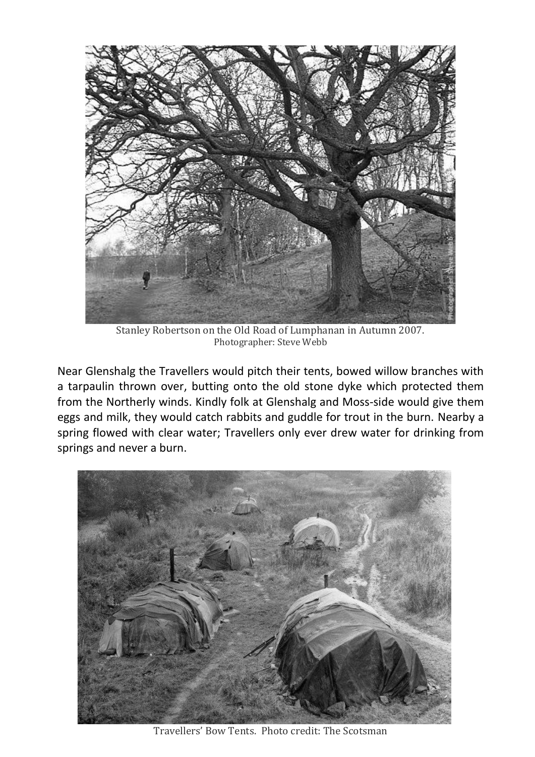

Stanley Robertson on the Old Road of Lumphanan in Autumn 2007. Photographer: Steve Webb

Near Glenshalg the Travellers would pitch their tents, bowed willow branches with a tarpaulin thrown over, butting onto the old stone dyke which protected them from the Northerly winds. Kindly folk at Glenshalg and Moss-side would give them eggs and milk, they would catch rabbits and guddle for trout in the burn. Nearby a spring flowed with clear water; Travellers only ever drew water for drinking from springs and never a burn.



Travellers' Bow Tents. Photo credit: The Scotsman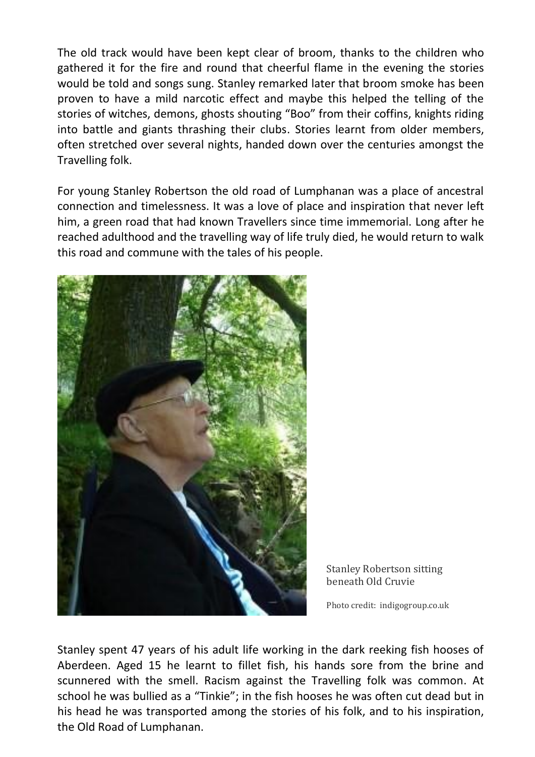The old track would have been kept clear of broom, thanks to the children who gathered it for the fire and round that cheerful flame in the evening the stories would be told and songs sung. Stanley remarked later that broom smoke has been proven to have a mild narcotic effect and maybe this helped the telling of the stories of witches, demons, ghosts shouting "Boo" from their coffins, knights riding into battle and giants thrashing their clubs. Stories learnt from older members, often stretched over several nights, handed down over the centuries amongst the Travelling folk.

For young Stanley Robertson the old road of Lumphanan was a place of ancestral connection and timelessness. It was a love of place and inspiration that never left him, a green road that had known Travellers since time immemorial. Long after he reached adulthood and the travelling way of life truly died, he would return to walk this road and commune with the tales of his people.



Stanley Robertson sitting beneath Old Cruvie

Photo credit: indigogroup.co.uk

Stanley spent 47 years of his adult life working in the dark reeking fish hooses of Aberdeen. Aged 15 he learnt to fillet fish, his hands sore from the brine and scunnered with the smell. Racism against the Travelling folk was common. At school he was bullied as a "Tinkie"; in the fish hooses he was often cut dead but in his head he was transported among the stories of his folk, and to his inspiration, the Old Road of Lumphanan.